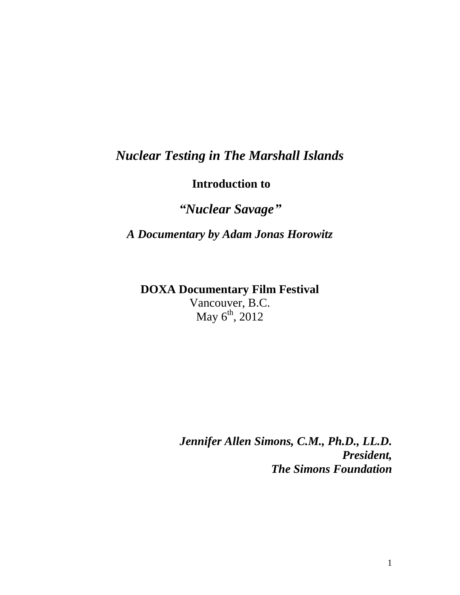## *Nuclear Testing in The Marshall Islands*

**Introduction to**

*"Nuclear Savage"*

*A Documentary by Adam Jonas Horowitz*

**DOXA Documentary Film Festival** Vancouver, B.C. May  $6^{th}$ , 2012

> *Jennifer Allen Simons, C.M., Ph.D., LL.D. President, The Simons Foundation*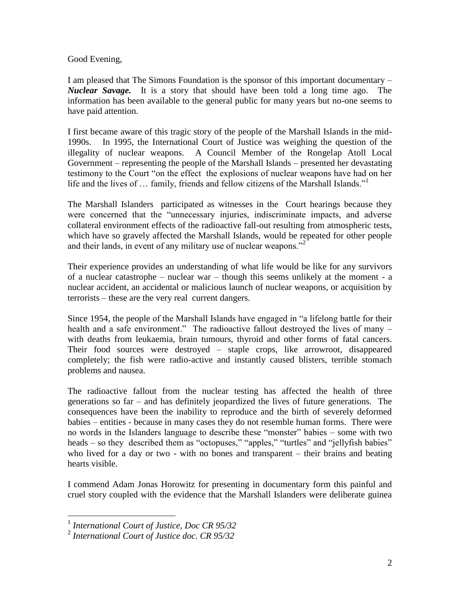Good Evening,

I am pleased that The Simons Foundation is the sponsor of this important documentary – *Nuclear Savage.* It is a story that should have been told a long time ago. The information has been available to the general public for many years but no-one seems to have paid attention.

I first became aware of this tragic story of the people of the Marshall Islands in the mid-1990s. In 1995, the International Court of Justice was weighing the question of the illegality of nuclear weapons. A Council Member of the Rongelap Atoll Local Government – representing the people of the Marshall Islands – presented her devastating testimony to the Court "on the effect the explosions of nuclear weapons have had on her life and the lives of ... family, friends and fellow citizens of the Marshall Islands."<sup>1</sup>

The Marshall Islanders participated as witnesses in the Court hearings because they were concerned that the "unnecessary injuries, indiscriminate impacts, and adverse collateral environment effects of the radioactive fall-out resulting from atmospheric tests, which have so gravely affected the Marshall Islands, would be repeated for other people and their lands, in event of any military use of nuclear weapons."<sup>2</sup>

Their experience provides an understanding of what life would be like for any survivors of a nuclear catastrophe – nuclear war – though this seems unlikely at the moment - a nuclear accident, an accidental or malicious launch of nuclear weapons, or acquisition by terrorists – these are the very real current dangers.

Since 1954, the people of the Marshall Islands have engaged in "a lifelong battle for their health and a safe environment." The radioactive fallout destroyed the lives of many – with deaths from leukaemia, brain tumours, thyroid and other forms of fatal cancers. Their food sources were destroyed – staple crops, like arrowroot, disappeared completely; the fish were radio-active and instantly caused blisters, terrible stomach problems and nausea.

The radioactive fallout from the nuclear testing has affected the health of three generations so far – and has definitely jeopardized the lives of future generations. The consequences have been the inability to reproduce and the birth of severely deformed babies – entities - because in many cases they do not resemble human forms. There were no words in the Islanders language to describe these "monster" babies – some with two heads – so they described them as "octopuses," "apples," "turtles" and "jellyfish babies" who lived for a day or two - with no bones and transparent – their brains and beating hearts visible.

I commend Adam Jonas Horowitz for presenting in documentary form this painful and cruel story coupled with the evidence that the Marshall Islanders were deliberate guinea

 $\overline{a}$ 

<sup>1</sup> *International Court of Justice, Doc CR 95/32*

<sup>2</sup> *International Court of Justice doc. CR 95/32*